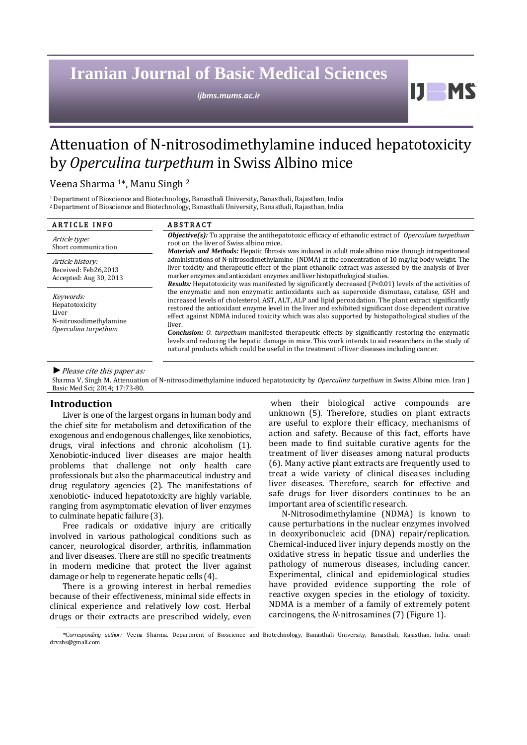# **Iranian Journal of Basic Medical Sciences**

*ijbms.mums.ac.ir*

# Attenuation of N-nitrosodimethylamine induced hepatotoxicity by *Operculina turpethum* in Swiss Albino mice

Veena Sharma <sup>1</sup>\*, Manu Singh <sup>2</sup>

<sup>1</sup>Department of Bioscience and Biotechnology, Banasthali University, Banasthali, Rajasthan, India <sup>2</sup>Department of Bioscience and Biotechnology, Banasthali University, Banasthali, Rajasthan, India

| <b>ARTICLE INFO</b>                                                                    | <b>ABSTRACT</b>                                                                                                                                                                                                                                                                                                                                                                                                                                                                                                                                                                                                                                                                                                                                 |  |  |
|----------------------------------------------------------------------------------------|-------------------------------------------------------------------------------------------------------------------------------------------------------------------------------------------------------------------------------------------------------------------------------------------------------------------------------------------------------------------------------------------------------------------------------------------------------------------------------------------------------------------------------------------------------------------------------------------------------------------------------------------------------------------------------------------------------------------------------------------------|--|--|
| Article type:<br>Short communication                                                   | <b>Objective(s):</b> To appraise the antihepatotoxic efficacy of ethanolic extract of <i>Operculum turpethum</i><br>root on the liver of Swiss albino mice.<br>Materials and Methods: Hepatic fibrosis was induced in adult male albino mice through intraperitoneal                                                                                                                                                                                                                                                                                                                                                                                                                                                                            |  |  |
| Article history:<br>Received: Feb26,2013<br>Accepted: Aug 30, 2013                     | administrations of N-nitrosodimethylamine (NDMA) at the concentration of 10 mg/kg body weight. The<br>liver toxicity and therapeutic effect of the plant ethanolic extract was assessed by the analysis of liver<br>marker enzymes and antioxidant enzymes and liver histopathological studies.<br><b>Results:</b> Hepatotoxicity was manifested by significantly decreased $(P<0.01)$ levels of the activities of                                                                                                                                                                                                                                                                                                                              |  |  |
| Keywords:<br>Hepatotoxicity<br>Liver<br>N-nitrosodimethylamine<br>Operculina turpethum | the enzymatic and non enzymatic antioxidants such as superoxide dismutase, catalase, GSH and<br>increased levels of cholesterol, AST, ALT, ALP and lipid peroxidation. The plant extract significantly<br>restored the antioxidant enzyme level in the liver and exhibited significant dose dependent curative<br>effect against NDMA induced toxicity which was also supported by histopathological studies of the<br>liver.<br><b>Conclusion:</b> O. turpethum manifested therapeutic effects by significantly restoring the enzymatic<br>levels and reducing the hepatic damage in mice. This work intends to aid researchers in the study of<br>natural products which could be useful in the treatment of liver diseases including cancer. |  |  |

*►*Please cite this paper as:

Sharma V, Singh M. Attenuation of N-nitrosodimethylamine induced hepatotoxicity by *Operculina turpethum* in Swiss Albino mice. Iran J Basic Med Sci; 2014; 17:73-80.

## **Introduction**

Liver is one of the largest organs in human body and the chief site for metabolism and detoxification of the exogenous and endogenous challenges, like xenobiotics, drugs, viral infections and chronic alcoholism (1). Xenobiotic-induced liver diseases are major health problems that challenge not only health care professionals but also the pharmaceutical industry and drug regulatory agencies (2). The manifestations of xenobiotic- induced hepatotoxicity are highly variable, ranging from asymptomatic elevation of liver enzymes to culminate hepatic failure (3).

Free radicals or oxidative injury are critically involved in various pathological conditions such as cancer, neurological disorder, arthritis, inflammation and liver diseases. There are still no specific treatments in modern medicine that protect the liver against damage or help to regenerate hepatic cells (4).

There is a growing interest in herbal remedies because of their effectiveness, minimal side effects in clinical experience and relatively low cost. Herbal drugs or their extracts are prescribed widely, even

when their biological active compounds are unknown (5). Therefore, studies on plant extracts are useful to explore their efficacy, mechanisms of action and safety. Because of this fact, efforts have been made to find suitable curative agents for the treatment of liver diseases among natural products (6). Many active plant extracts are frequently used to treat a wide variety of clinical diseases including liver diseases. Therefore, search for effective and safe drugs for liver disorders continues to be an important area of scientific research.

Ш

N-Nitrosodimethylamine (NDMA) is known to cause perturbations in the nuclear enzymes involved in deoxyribonucleic acid (DNA) repair/replication. Chemical-induced liver injury depends mostly on the oxidative stress in hepatic tissue and underlies the pathology of numerous diseases, including cancer. Experimental, clinical and epidemiological studies have provided evidence supporting the role of reactive oxygen species in the etiology of toxicity. NDMA is a member of a family of extremely potent carcinogens, the *N*-nitrosamines (7) (Figure 1).

*<sup>\*</sup>Corresponding author:* Veena Sharma. Department of Bioscience and Biotechnology, Banasthali University, Banasthali, Rajasthan, India. email: drvshs@gmail.com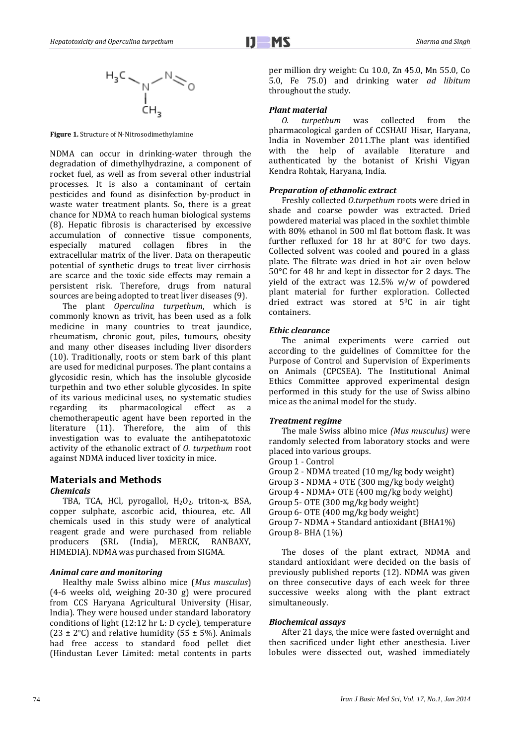

**Figure 1.** Structure of N-Nitrosodimethylamine

NDMA can occur in drinking-water through the degradation of dimethylhydrazine, a component of rocket fuel, as well as from several other industrial processes. It is also a contaminant of certain pesticides and found as disinfection by-product in waste water treatment plants. So, there is a great chance for NDMA to reach human biological systems (8). Hepatic fibrosis is characterised by excessive accumulation of connective tissue components, especially matured collagen fibres in the extracellular matrix of the liver. Data on therapeutic potential of synthetic drugs to treat liver cirrhosis are scarce and the toxic side effects may remain a persistent risk. Therefore, drugs from natural sources are being adopted to treat liver diseases (9).

The plant *Operculina turpethum*, which is commonly known as trivit, has been used as a folk medicine in many countries to treat jaundice, rheumatism, chronic gout, piles, tumours, obesity and many other diseases including liver disorders (10). Traditionally, roots or stem bark of this plant are used for medicinal purposes. The plant contains a glycosidic resin, which has the insoluble glycoside turpethin and two ether soluble glycosides. In spite of its various medicinal uses, no systematic studies regarding its pharmacological effect as a chemotherapeutic agent have been reported in the literature (11). Therefore, the aim of this investigation was to evaluate the antihepatotoxic activity of the ethanolic extract of *O. turpethum* root against NDMA induced liver toxicity in mice.

## **Materials and Methods** *Chemicals*

TBA, TCA, HCl, pyrogallol,  $H_2O_2$ , triton-x, BSA, copper sulphate, ascorbic acid, thiourea, etc. All chemicals used in this study were of analytical reagent grade and were purchased from reliable producers (SRL (India), MERCK, RANBAXY, HIMEDIA). NDMA was purchased from SIGMA.

## *Animal care and monitoring*

Healthy male Swiss albino mice (*Mus musculus*) (4-6 weeks old, weighing 20-30 g) were procured from CCS Haryana Agricultural University (Hisar, India). They were housed under standard laboratory conditions of light (12:12 hr L: D cycle), temperature (23  $\pm$  2°C) and relative humidity (55  $\pm$  5%). Animals had free access to standard food pellet diet (Hindustan Lever Limited: metal contents in parts per million dry weight: Cu 10.0, Zn 45.0, Mn 55.0, Co 5.0, Fe 75.0) and drinking water *ad libitum*  throughout the study.

## *Plant material*

*O. turpethum* was collected from the pharmacological garden of CCSHAU Hisar, Haryana, India in November 2011.The plant was identified with the help of available literature and authenticated by the botanist of Krishi Vigyan Kendra Rohtak, Haryana, India.

## *Preparation of ethanolic extract*

Freshly collected *O.turpethum* roots were dried in shade and coarse powder was extracted. Dried powdered material was placed in the soxhlet thimble with 80% ethanol in 500 ml flat bottom flask. It was further refluxed for 18 hr at 80°C for two days. Collected solvent was cooled and poured in a glass plate. The filtrate was dried in hot air oven below 50°C for 48 hr and kept in dissector for 2 days. The yield of the extract was 12.5% w/w of powdered plant material for further exploration. Collected dried extract was stored at 50C in air tight containers.

## *Ethic clearance*

The animal experiments were carried out according to the guidelines of Committee for the Purpose of Control and Supervision of Experiments on Animals (CPCSEA). The Institutional Animal Ethics Committee approved experimental design performed in this study for the use of Swiss albino mice as the animal model for the study.

## *Treatment regime*

The male Swiss albino mice *(Mus musculus)* were randomly selected from laboratory stocks and were placed into various groups.

Group 1 - Control

Group 2 - NDMA treated (10 mg/kg body weight) Group 3 - NDMA + OTE (300 mg/kg body weight) Group 4 - NDMA+ OTE (400 mg/kg body weight) Group 5- OTE (300 mg/kg body weight) Group 6- OTE (400 mg/kg body weight) Group 7- NDMA + Standard antioxidant (BHA1%) Group 8- BHA (1%)

The doses of the plant extract, NDMA and standard antioxidant were decided on the basis of previously published reports (12). NDMA was given on three consecutive days of each week for three successive weeks along with the plant extract simultaneously.

## *Biochemical assays*

After 21 days, the mice were fasted overnight and then sacrificed under light ether anesthesia. Liver lobules were dissected out, washed immediately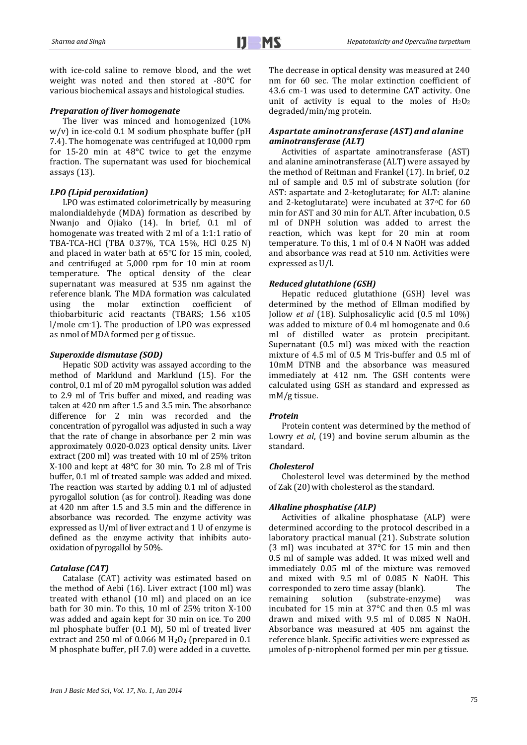with ice-cold saline to remove blood, and the wet weight was noted and then stored at -80°C for various biochemical assays and histological studies.

### *Preparation of liver homogenate*

The liver was minced and homogenized (10% w/v) in ice-cold 0.1 M sodium phosphate buffer (pH 7.4). The homogenate was centrifuged at 10,000 rpm for 15-20 min at 48°C twice to get the enzyme fraction. The supernatant was used for biochemical assays (13).

## *LPO (Lipid peroxidation)*

LPO was estimated colorimetrically by measuring malondialdehyde (MDA) formation as described by Nwanjo and Ojiako (14). In brief, 0.1 ml of homogenate was treated with 2 ml of a 1:1:1 ratio of TBA-TCA-HCl (TBA 0.37%, TCA 15%, HCl 0.25 N) and placed in water bath at 65°C for 15 min, cooled, and centrifuged at 5,000 rpm for 10 min at room temperature. The optical density of the clear supernatant was measured at 535 nm against the reference blank. The MDA formation was calculated using the molar extinction coefficient of thiobarbituric acid reactants (TBARS; 1.56 x105 l/mole cm-1). The production of LPO was expressed as nmol of MDA formed per g of tissue.

## *Superoxide dismutase (SOD)*

Hepatic SOD activity was assayed according to the method of Marklund and Marklund (15). For the control, 0.1 ml of 20 mM pyrogallol solution was added to 2.9 ml of Tris buffer and mixed, and reading was taken at 420 nm after 1.5 and 3.5 min. The absorbance difference for 2 min was recorded and the concentration of pyrogallol was adjusted in such a way that the rate of change in absorbance per 2 min was approximately 0.020-0.023 optical density units. Liver extract (200 ml) was treated with 10 ml of 25% triton X-100 and kept at 48°C for 30 min. To 2.8 ml of Tris buffer, 0.1 ml of treated sample was added and mixed. The reaction was started by adding 0.1 ml of adjusted pyrogallol solution (as for control). Reading was done at 420 nm after 1.5 and 3.5 min and the difference in absorbance was recorded. The enzyme activity was expressed as U/ml of liver extract and 1 U of enzyme is defined as the enzyme activity that inhibits autooxidation of pyrogallol by 50%.

#### *Catalase (CAT)*

Catalase (CAT) activity was estimated based on the method of Aebi (16). Liver extract (100 ml) was treated with ethanol (10 ml) and placed on an ice bath for 30 min. To this, 10 ml of 25% triton X-100 was added and again kept for 30 min on ice. To 200 ml phosphate buffer (0.1 M), 50 ml of treated liver extract and 250 ml of 0.066 M  $H<sub>2</sub>O<sub>2</sub>$  (prepared in 0.1 M phosphate buffer, pH 7.0) were added in a cuvette. The decrease in optical density was measured at 240 nm for 60 sec. The molar extinction coefficient of 43.6 cm-1 was used to determine CAT activity. One unit of activity is equal to the moles of  $H_2O_2$ degraded/min/mg protein.

## *Aspartate aminotransferase (AST)and alanine aminotransferase (ALT)*

Activities of aspartate aminotransferase (AST) and alanine aminotransferase (ALT) were assayed by the method of Reitman and Frankel (17). In brief, 0.2 ml of sample and 0.5 ml of substrate solution (for AST: aspartate and 2-ketoglutarate; for ALT: alanine and 2-ketoglutarate) were incubated at 37°C for 60 min for AST and 30 min for ALT. After incubation, 0.5 ml of DNPH solution was added to arrest the reaction, which was kept for 20 min at room temperature. To this, 1 ml of 0.4 N NaOH was added and absorbance was read at 510 nm. Activities were expressed as U/l.

#### *Reduced glutathione (GSH)*

Hepatic reduced glutathione (GSH) level was determined by the method of Ellman modified by Jollow *et al* (18). Sulphosalicylic acid (0.5 ml 10%) was added to mixture of 0.4 ml homogenate and 0.6 ml of distilled water as protein precipitant. Supernatant (0.5 ml) was mixed with the reaction mixture of 4.5 ml of 0.5 M Tris-buffer and 0.5 ml of 10mM DTNB and the absorbance was measured immediately at 412 nm. The GSH contents were calculated using GSH as standard and expressed as mM/g tissue.

#### *Protein*

Protein content was determined by the method of Lowry *et al*, (19) and bovine serum albumin as the standard.

## *Cholesterol*

Cholesterol level was determined by the method of Zak (20) with cholesterol as the standard.

## *Alkaline phosphatise (ALP)*

Activities of alkaline phosphatase (ALP) were determined according to the protocol described in a laboratory practical manual (21). Substrate solution (3 ml) was incubated at 37°C for 15 min and then 0.5 ml of sample was added. It was mixed well and immediately 0.05 ml of the mixture was removed and mixed with 9.5 ml of 0.085 N NaOH. This corresponded to zero time assay (blank). The remaining solution (substrate-enzyme) was incubated for 15 min at 37°C and then 0.5 ml was drawn and mixed with 9.5 ml of 0.085 N NaOH. Absorbance was measured at 405 nm against the reference blank. Specific activities were expressed as µmoles of p-nitrophenol formed per min per g tissue.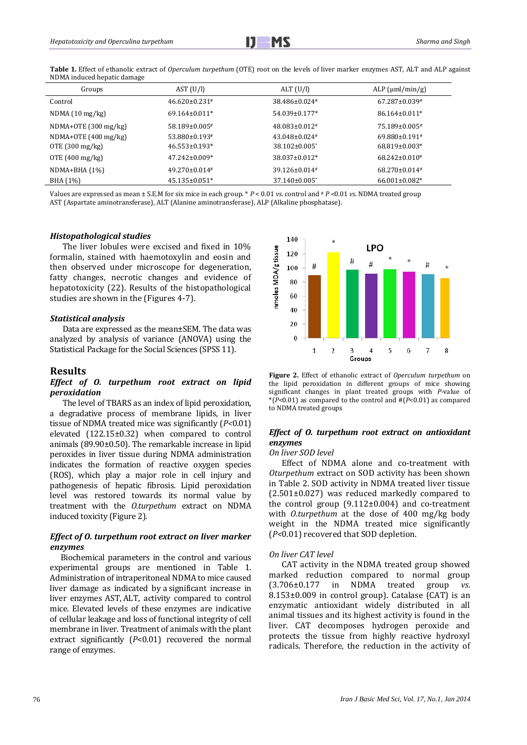Ï

**Table 1.** Effect of ethanolic extract of *Operculum turpethum* (OTE) root on the levels of liver marker enzymes AST, ALT and ALP against NDMA induced hepatic damage

| Groups                    | AST (U/I)                       | ALT (U/I)                     | ALP $(\mu m l/min/g)$ |
|---------------------------|---------------------------------|-------------------------------|-----------------------|
| Control                   | $46.620 \pm 0.231$ #            | 38.486±0.024#                 | $67.287 \pm 0.039$ #  |
| NDMA(10 mg/kg)            | $69.164 \pm 0.011*$             | 54.039±0.177*                 | 86.164±0.011*         |
| $NDMA+OTE$ (300 mg/kg)    | 58.189±0.005#                   | 48.083±0.012#                 | 75.189±0.005#         |
| $NDMA+OTE(400 mg/kg)$     | 53.880±0.193#                   | $43.048\pm0.024$ #            | $69.880 \pm 0.191$ #  |
| OTE $(300 \text{ mg/kg})$ | $46.553 \pm 0.193$ <sup>*</sup> | 38.102±0.005*                 | 68.819±0.003*         |
| OTE $(400 \text{ mg/kg})$ | $47.242 \pm 0.009*$             | 38.037±0.012*                 | $68.242 \pm 0.010*$   |
| $NDMA+BHA(1%)$            | $49.270 \pm 0.014$ #            | 39.126±0.014#                 | $68.270 \pm 0.014$ #  |
| BHA (1%)                  | $45.135 \pm 0.051$ *            | $37.140\pm0.005$ <sup>*</sup> | $66.001 \pm 0.082$ *  |

Values are expressed as mean ± S.E.M for six mice in each group. \* *P* < 0.01 *vs*. control and # *P <*0.01 *vs*. NDMA treated group AST (Aspartate aminotransferase), ALT (Alanine aminotransferase), ALP (Alkaline phosphatase).

## *Histopathological studies*

The liver lobules were excised and fixed in 10% formalin, stained with haemotoxylin and eosin and then observed under microscope for degeneration, fatty changes, necrotic changes and evidence of hepatotoxicity (22). Results of the histopathological studies are shown in the (Figures 4-7).

#### *Statistical analysis*

Data are expressed as the mean±SEM. The data was analyzed by analysis of variance (ANOVA) using the Statistical Package for the Social Sciences (SPSS 11).

### **Results**

## *Effect of O. turpethum root extract on lipid peroxidation*

The level of TBARS as an index of lipid peroxidation, a degradative process of membrane lipids, in liver tissue of NDMA treated mice was significantly (*P<*0.01) elevated (122.15±0.32) when compared to control animals (89.90±0.50). The remarkable increase in lipid peroxides in liver tissue during NDMA administration indicates the formation of reactive oxygen species (ROS), which play a major role in cell injury and pathogenesis of hepatic fibrosis. Lipid peroxidation level was restored towards its normal value by treatment with the *O.turpethum* extract on NDMA induced toxicity (Figure 2).

## *Effect of O. turpethum root extract on liver marker enzymes*

 Biochemical parameters in the control and various experimental groups are mentioned in Table 1. Administration of intraperitoneal NDMA to mice caused liver damage as indicated by a significant increase in liver enzymes AST, ALT, activity compared to control mice. Elevated levels of these enzymes are indicative of cellular leakage and loss of functional integrity of cell membrane in liver. Treatment of animals with the plant extract significantly (*P*<0.01) recovered the normal range of enzymes.



**Figure 2.** Effect of ethanolic extract of *Operculum turpethum* on the lipid peroxidation in different groups of mice showing significant changes in plant treated groups with *P-*value of \*(*P<*0.01) as compared to the control and #(*P*<0.01) as compared to NDMA treated groups

## *Effect of O. turpethum root extract on antioxidant enzymes*

## *On liver SOD level*

Effect of NDMA alone and co-treatment with *Oturpethum* extract on SOD activity has been shown in Table 2. SOD activity in NDMA treated liver tissue (2.501±0.027) was reduced markedly compared to the control group (9.112±0.004) and co-treatment with *O.turpethum* at the dose of 400 mg/kg body weight in the NDMA treated mice significantly (*P<*0.01) recovered that SOD depletion.

#### *On liver CAT level*

CAT activity in the NDMA treated group showed marked reduction compared to normal group (3.706±0.177 in NDMA treated group *vs*. 8.153±0.009 in control group). Catalase (CAT) is an enzymatic antioxidant widely distributed in all animal tissues and its highest activity is found in the liver. CAT decomposes hydrogen peroxide and protects the tissue from highly reactive hydroxyl radicals. Therefore, the reduction in the activity of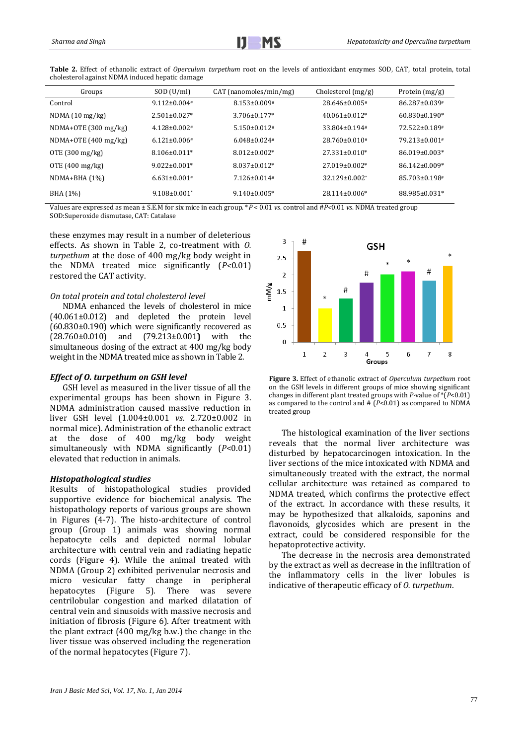| Groups                    | SOD (U/ml)                     | CAT (nanomoles/min/mg) | Cholesterol $(mg/g)$            | Protein (mg/g)      |
|---------------------------|--------------------------------|------------------------|---------------------------------|---------------------|
| Control                   | $9.112 \pm 0.004$ #            | $8.153 \pm 0.009$ #    | $28.646\pm0.005$ <sup>#</sup>   | 86.287±0.039#       |
| NDMA(10 mg/kg)            | $2.501 \pm 0.027$ *            | $3.706 \pm 0.177$ *    | $40.061 \pm 0.012$ *            | $60.830\pm0.190*$   |
| $NDMA+OTE$ (300 mg/kg)    | $4.128 \pm 0.002$ #            | $5.150 \pm 0.012$ #    | $33.804 \pm 0.194$ <sup>#</sup> | 72.522±0.189#       |
| $NDMA+OTE(400 mg/kg)$     | $6.121 \pm 0.006$ #            | $6.048 \pm 0.024$ #    | $28.760 \pm 0.010^*$            | 79.213±0.001#       |
| OTE $(300 \text{ mg/kg})$ | $8.106 \pm 0.011*$             | $8.012 \pm 0.002*$     | $27.331 \pm 0.010*$             | $86.019 \pm 0.003*$ |
| OTE $(400 \text{ mg/kg})$ | $9.022 \pm 0.001*$             | $8.037 + 0.012*$       | $27.019\pm0.002*$               | 86.142±0.009*       |
| $NDMA+BHA(1%)$            | $6.631 \pm 0.001$ <sup>#</sup> | $7.126 \pm 0.014$ #    | $32.129 \pm 0.002^*$            | 85.703±0.198#       |
| BHA (1%)                  | $9.108 \pm 0.001$ <sup>*</sup> | $9.140 \pm 0.005*$     | $28.114\pm0.006*$               | 88.985±0.031*       |

**Table 2.** Effect of ethanolic extract of *Operculum turpethum* root on the levels of antioxidant enzymes SOD, CAT, total protein, total cholesterol against NDMA induced hepatic damage

Values are expressed as mean ± S.E.M for six mice in each group. \**P* < 0.01 *vs*. control and #*P<*0.01 *vs*. NDMA treated group SOD:Superoxide dismutase, CAT: Catalase

these enzymes may result in a number of deleterious effects. As shown in Table 2, co-treatment with *O. turpethum* at the dose of 400 mg/kg body weight in the NDMA treated mice significantly (*P<*0.01) restored the CAT activity.

## *On total protein and total cholesterol level*

NDMA enhanced the levels of cholesterol in mice (40.061±0.012) and depleted the protein level (60.830±0.190) which were significantly recovered as (28.760±0.010) and (79.213±0.001**)** with the simultaneous dosing of the extract at 400 mg/kg body weight in the NDMA treated mice as shown in Table 2.

## *Effect of O. turpethum on GSH level*

GSH level as measured in the liver tissue of all the experimental groups has been shown in Figure 3. NDMA administration caused massive reduction in liver GSH level (1.004±0.001 *vs*. 2.720±0.002 in normal mice). Administration of the ethanolic extract at the dose of 400 mg/kg body weight simultaneously with NDMA significantly (*P*<0.01) elevated that reduction in animals.

#### *Histopathological studies*

Results of histopathological studies provided supportive evidence for biochemical analysis. The histopathology reports of various groups are shown in Figures (4-7). The histo-architecture of control group (Group 1) animals was showing normal hepatocyte cells and depicted normal lobular architecture with central vein and radiating hepatic cords (Figure 4). While the animal treated with NDMA (Group 2) exhibited perivenular necrosis and micro vesicular fatty change in peripheral hepatocytes (Figure 5). There was severe centrilobular congestion and marked dilatation of central vein and sinusoids with massive necrosis and initiation of fibrosis (Figure 6). After treatment with the plant extract (400 mg/kg b.w.) the change in the liver tissue was observed including the regeneration of the normal hepatocytes (Figure 7).



**Figure 3.** Effect of ethanolic extract of *Operculum turpethum* root on the GSH levels in different groups of mice showing significant changes in different plant treated groups with *P-*value of \*(*P*<0.01) as compared to the control and # (*P*<0.01) as compared to NDMA treated group

The histological examination of the liver sections reveals that the normal liver architecture was disturbed by hepatocarcinogen intoxication. In the liver sections of the mice intoxicated with NDMA and simultaneously treated with the extract, the normal cellular architecture was retained as compared to NDMA treated, which confirms the protective effect of the extract. In accordance with these results, it may be hypothesized that alkaloids, saponins and flavonoids, glycosides which are present in the extract, could be considered responsible for the hepatoprotective activity.

The decrease in the necrosis area demonstrated by the extract as well as decrease in the infiltration of the inflammatory cells in the liver lobules is indicative of therapeutic efficacy of *O. turpethum*.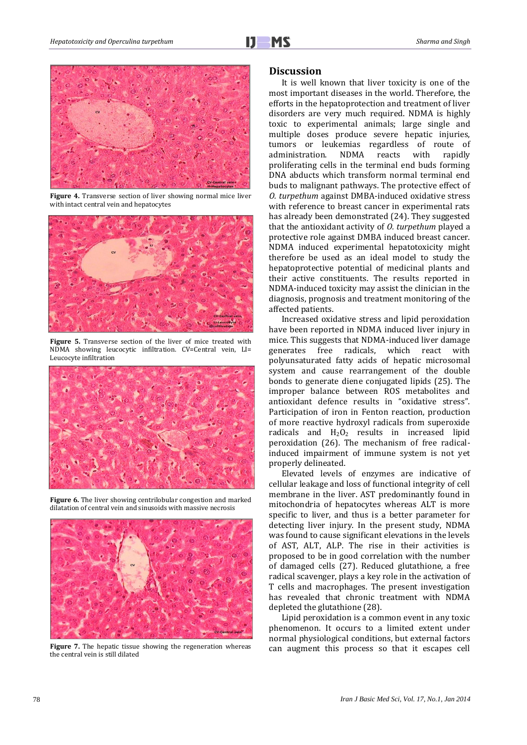

**Figure 4.** Transverse section of liver showing normal mice liver with intact central vein and hepatocytes



**Figure 5.** Transverse section of the liver of mice treated with NDMA showing leucocytic infiltration. CV=Central vein, LI= Leucocyte infiltration



**Figure 6.** The liver showing centrilobular congestion and marked dilatation of central vein and sinusoids with massive necrosis



**Figure 7.** The hepatic tissue showing the regeneration whereas the central vein is still dilated

### **Discussion**

It is well known that liver toxicity is one of the most important diseases in the world. Therefore, the efforts in the hepatoprotection and treatment of liver disorders are very much required. NDMA is highly toxic to experimental animals; large single and multiple doses produce severe hepatic injuries, tumors or leukemias regardless of route of administration. NDMA reacts with rapidly proliferating cells in the terminal end buds forming DNA abducts which transform normal terminal end buds to malignant pathways. The protective effect of *O. turpethum* against DMBA-induced oxidative stress with reference to breast cancer in experimental rats has already been demonstrated (24). They suggested that the antioxidant activity of *O. turpethum* played a protective role against DMBA induced breast cancer. NDMA induced experimental hepatotoxicity might therefore be used as an ideal model to study the hepatoprotective potential of medicinal plants and their active constituents. The results reported in NDMA-induced toxicity may assist the clinician in the diagnosis, prognosis and treatment monitoring of the affected patients.

Increased oxidative stress and lipid peroxidation have been reported in NDMA induced liver injury in mice. This suggests that NDMA-induced liver damage generates free radicals, which react with polyunsaturated fatty acids of hepatic microsomal system and cause rearrangement of the double bonds to generate diene conjugated lipids (25). The improper balance between ROS metabolites and antioxidant defence results in "oxidative stress". Participation of iron in Fenton reaction, production of more reactive hydroxyl radicals from superoxide radicals and  $H_2O_2$  results in increased lipid peroxidation (26). The mechanism of free radicalinduced impairment of immune system is not yet properly delineated.

Elevated levels of enzymes are indicative of cellular leakage and loss of functional integrity of cell membrane in the liver. AST predominantly found in mitochondria of hepatocytes whereas ALT is more specific to liver, and thus is a better parameter for detecting liver injury. In the present study, NDMA was found to cause significant elevations in the levels of AST, ALT, ALP. The rise in their activities is proposed to be in good correlation with the number of damaged cells (27). Reduced glutathione, a free radical scavenger, plays a key role in the activation of T cells and macrophages. The present investigation has revealed that chronic treatment with NDMA depleted the glutathione (28).

Lipid peroxidation is a common event in any toxic phenomenon. It occurs to a limited extent under normal physiological conditions, but external factors can augment this process so that it escapes cell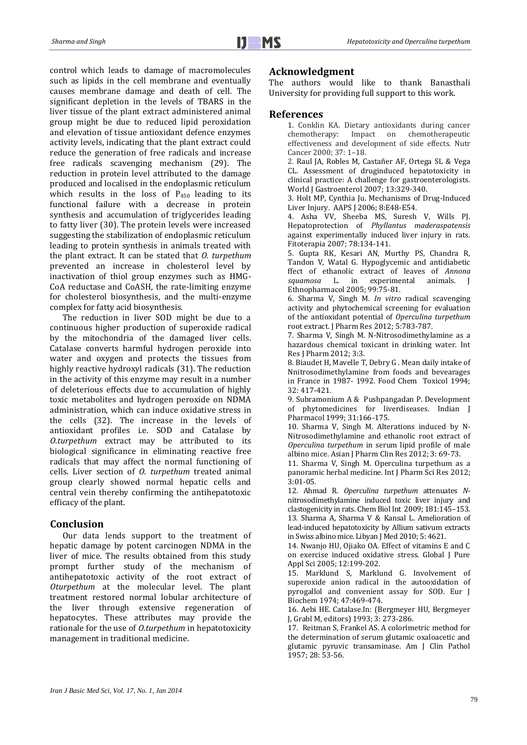control which leads to damage of macromolecules such as lipids in the cell membrane and eventually causes membrane damage and death of cell. The significant depletion in the levels of TBARS in the liver tissue of the plant extract administered animal group might be due to reduced lipid peroxidation and elevation of tissue antioxidant defence enzymes activity levels, indicating that the plant extract could reduce the generation of free radicals and increase free radicals scavenging mechanism (29). The reduction in protein level attributed to the damage produced and localised in the endoplasmic reticulum which results in the loss of  $P_{450}$  leading to its functional failure with a decrease in protein synthesis and accumulation of triglycerides leading to fatty liver (30). The protein levels were increased suggesting the stabilization of endoplasmic reticulum leading to protein synthesis in animals treated with the plant extract. It can be stated that *O. turpethum* prevented an increase in cholesterol level by inactivation of thiol group enzymes such as HMG-CoA reductase and CoASH, the rate-limiting enzyme for cholesterol biosynthesis, and the multi-enzyme complex for fatty acid biosynthesis.

The reduction in liver SOD might be due to a continuous higher production of superoxide radical by the mitochondria of the damaged liver cells. Catalase converts harmful hydrogen peroxide into water and oxygen and protects the tissues from highly reactive hydroxyl radicals (31). The reduction in the activity of this enzyme may result in a number of deleterious effects due to accumulation of highly toxic metabolites and hydrogen peroxide on NDMA administration, which can induce oxidative stress in the cells (32). The increase in the levels of antioxidant profiles i.e. SOD and Catalase by *O.turpethum* extract may be attributed to its biological significance in eliminating reactive free radicals that may affect the normal functioning of cells. Liver section of *O. turpethum* treated animal group clearly showed normal hepatic cells and central vein thereby confirming the antihepatotoxic efficacy of the plant.

## **Conclusion**

Our data lends support to the treatment of hepatic damage by potent carcinogen NDMA in the liver of mice. The results obtained from this study prompt further study of the mechanism of antihepatotoxic activity of the root extract of *Oturpethum* at the molecular level. The plant treatment restored normal lobular architecture of the liver through extensive regeneration of hepatocytes. These attributes may provide the rationale for the use of *O.turpethum* in hepatotoxicity management in traditional medicine.

# **Acknowledgment**

The authors would like to thank Banasthali University for providing full support to this work.

## **References**

1. Conklin KA. Dietary antioxidants during cancer Impact on chemotherapeutic effectiveness and development of side effects. Nutr Cancer 2000; 37: 1–18.

2. Raul JA, Robles M, Castañer AF, Ortega SL & Vega CL. Assessment of druginduced hepatotoxicity in clinical practice: A challenge for gastroenterologists. World J Gastroenterol 2007; 13:329-340.

3. Holt MP, Cynthia Ju. Mechanisms of Drug-Induced Liver Injury. AAPS J 2006; 8:E48-E54.

4. Asha VV, Sheeba MS, Suresh V, Wills PJ. Hepatoprotection of *Phyllantus maderaspatensis*  against experimentally induced liver injury in rats. Fitoterapia 2007; 78:134-141.

5. Gupta RK, Kesari AN, Murthy PS, Chandra R, Tandon V, Watal G. Hypoglycemic and antidiabetic ffect of ethanolic extract of leaves of *Annona squamosa* L. in experimental animals. J Ethnopharmacol 2005; 99:75-81.

6. Sharma V, Singh M. *In vitro* radical scavenging activity and phytochemical screening for evaluation of the antioxidant potential of *Operculina turpethum* root extract. J Pharm Res 2012; 5:783-787.

7. Sharma V, Singh M. N-Nitrosodimethylamine as a hazardous chemical toxicant in drinking water. Int Res J Pharm 2012; 3:3.

8. Biaudet H, Mavelle T, Debry G . Mean daily intake of Nnitrosodimethylamine from foods and bevearages in France in 1987- 1992. Food Chem Toxicol 1994; 32: 417-421.

9. Subramonium A & Pushpangadan P. Development of phytomedicines for liverdiseases. Indian J Pharmacol 1999; 31:166-175.

10. Sharma V, Singh M. Alterations induced by N-Nitrosodimethylamine and ethanolic root extract of *Operculina turpethum* in serum lipid profile of male albino mice. Asian J Pharm Clin Res 2012; 3: 69-73.

11. Sharma V, Singh M. Operculina turpethum as a panoramic herbal medicine. Int J Pharm Sci Res 2012; 3:01-05.

12. Ahmad R. *Operculina turpethum* attenuates *N*nitrosodimethylamine induced toxic liver injury and clastogenicity in rats. Chem Biol Int 2009; 181:145–153. 13. Sharma A, Sharma V & Kansal L. Amelioration of lead-induced hepatotoxicity by Allium sativum extracts in Swiss albino mice. Libyan J Med 2010; 5: 4621.

14. Nwanjo HU, Ojiako OA. Effect of vitamins E and C on exercise induced oxidative stress. Global J Pure Appl Sci 2005; 12:199-202.

15. Marklund S, Marklund G. Involvement of superoxide anion radical in the autooxidation of pyrogallol and convenient assay for SOD. Eur J Biochem 1974; 47:469-474.

16. Aebi HE. Catalase.In: (Bergmeyer HU, Bergmeyer J, Grabl M, editors) 1993; 3: 273-286.

17. Reitman S, Frankel AS. A colorimetric method for the determination of serum glutamic oxaloacetic and glutamic pyruvic transaminase. Am J Clin Pathol 1957; 28: 53-56.